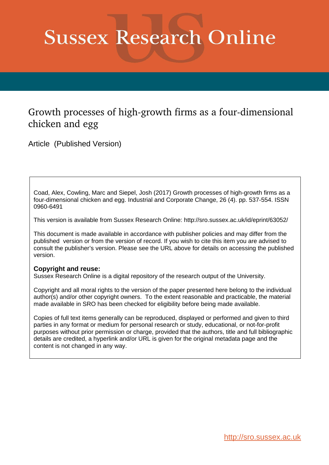# **Sussex Research Online**

# Growth processes of high-growth firms as a four-dimensional chicken and egg

Article (Published Version)

Coad, Alex, Cowling, Marc and Siepel, Josh (2017) Growth processes of high-growth firms as a four-dimensional chicken and egg. Industrial and Corporate Change, 26 (4). pp. 537-554. ISSN 0960-6491

This version is available from Sussex Research Online: http://sro.sussex.ac.uk/id/eprint/63052/

This document is made available in accordance with publisher policies and may differ from the published version or from the version of record. If you wish to cite this item you are advised to consult the publisher's version. Please see the URL above for details on accessing the published version.

## **Copyright and reuse:**

Sussex Research Online is a digital repository of the research output of the University.

Copyright and all moral rights to the version of the paper presented here belong to the individual author(s) and/or other copyright owners. To the extent reasonable and practicable, the material made available in SRO has been checked for eligibility before being made available.

Copies of full text items generally can be reproduced, displayed or performed and given to third parties in any format or medium for personal research or study, educational, or not-for-profit purposes without prior permission or charge, provided that the authors, title and full bibliographic details are credited, a hyperlink and/or URL is given for the original metadata page and the content is not changed in any way.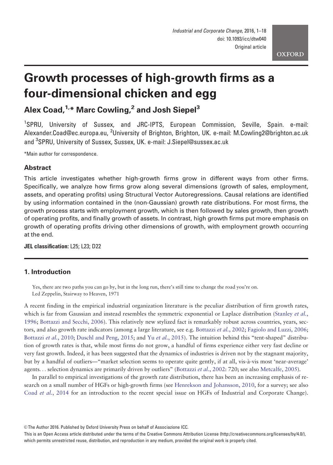# Growth processes of high-growth firms as a four-dimensional chicken and egg

# Alex Coad,<sup>1,\*</sup> Marc Cowling,<sup>2</sup> and Josh Siepel<sup>3</sup>

<sup>1</sup>SPRU, University of Sussex, and JRC-IPTS, European Commission, Seville, Spain. e-mail: Alexander.Coad@ec.europa.eu, <sup>2</sup>University of Brighton, Brighton, UK. e-mail: M.Cowling2@brighton.ac.uk and <sup>3</sup>SPRU, University of Sussex, Sussex, UK. e-mail: J.Siepel@sussex.ac.uk

\*Main author for correspondence.

#### **Abstract**

This article investigates whether high-growth firms grow in different ways from other firms. Specifically, we analyze how firms grow along several dimensions (growth of sales, employment, assets, and operating profits) using Structural Vector Autoregressions. Causal relations are identified by using information contained in the (non-Gaussian) growth rate distributions. For most firms, the growth process starts with employment growth, which is then followed by sales growth, then growth of operating profits, and finally growth of assets. In contrast, high growth firms put more emphasis on growth of operating profits driving other dimensions of growth, with employment growth occurring at the end.

JEL classification: L25; L23; D22

#### 1. Introduction

Yes, there are two paths you can go by, but in the long run, there's still time to change the road you're on. Led Zeppelin, Stairway to Heaven, 1971

A recent finding in the empirical industrial organization literature is the peculiar distribution of firm growth rates, which is far from Gaussian and instead resembles the symmetric exponential or Laplace distribution [\(Stanley](#page-15-0) *et al.*, [1996;](#page-15-0) [Bottazzi and Secchi, 2006](#page-13-0)). This relatively new stylized fact is remarkably robust across countries, years, sec-tors, and also growth rate indicators (among a large literature, see e.g. [Bottazzi](#page-13-0) *et al.*, 2002; [Fagiolo and Luzzi, 2006;](#page-14-0) [Bottazzi](#page-13-0) et al., 2010; [Duschl and Peng, 2015;](#page-14-0) and Yu et al.[, 2015\)](#page-15-0). The intuition behind this "tent-shaped" distribution of growth rates is that, while most firms do not grow, a handful of firms experience either very fast decline or very fast growth. Indeed, it has been suggested that the dynamics of industries is driven not by the stagnant majority, but by a handful of outliers—"market selection seems to operate quite gently, if at all, vis-à-vis most 'near-average' agents... selection dynamics are primarily driven by outliers" [\(Bottazzi](#page-13-0) et al., 2002: 720; see also [Metcalfe, 2005\)](#page-15-0).

In parallel to empirical investigations of the growth rate distribution, there has been an increasing emphasis of research on a small number of HGFs or high-growth firms (see [Henrekson and Johansson, 2010](#page-14-0), for a survey; see also Coad et al.[, 2014](#page-13-0) for an introduction to the recent special issue on HGFs of Industrial and Corporate Change).

© The Author 2016. Published by Oxford University Press on behalf of Associazione ICC.

This is an Open Access article distributed under the terms of the Creative Commons Attribution License (http://creativecommons.org/licenses/by/4.0/), which permits unrestricted reuse, distribution, and reproduction in any medium, provided the original work is properly cited.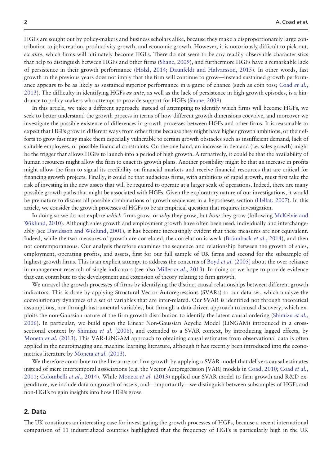HGFs are sought out by policy-makers and business scholars alike, because they make a disproportionately large contribution to job creation, productivity growth, and economic growth. However, it is notoriously difficult to pick out, ex ante, which firms will ultimately become HGFs. There do not seem to be any readily observable characteristics that help to distinguish between HGFs and other firms [\(Shane, 2009](#page-15-0)), and furthermore HGFs have a remarkable lack of persistence in their growth performance ([Holzl, 2014;](#page-14-0) [Daunfeldt and Halvarsson, 2015](#page-14-0)). In other words, fast growth in the previous years does not imply that the firm will continue to grow—instead sustained growth perform-ance appears to be as likely as sustained superior performance in a game of chance (such as coin toss; [Coad](#page-13-0) *et al.*, [2013\)](#page-13-0). The difficulty in identifying HGFs *ex ante*, as well as the lack of persistence in high-growth episodes, is a hindrance to policy-makers who attempt to provide support for HGFs [\(Shane, 2009\)](#page-15-0).

In this article, we take a different approach: instead of attempting to identify which firms will become HGFs, we seek to better understand the growth process in terms of how different growth dimensions coevolve, and moreover we investigate the possible existence of differences in growth processes between HGFs and other firms. It is reasonable to expect that HGFs grow in different ways from other firms because they might have higher growth ambitions, or their efforts to grow fast may make them especially vulnerable to certain growth obstacles such as insufficient demand, lack of suitable employees, or possible financial constraints. On the one hand, an increase in demand (i.e. sales growth) might be the trigger that allows HGFs to launch into a period of high growth. Alternatively, it could be that the availability of human resources might allow the firm to enact its growth plans. Another possibility might be that an increase in profits might allow the firm to signal its credibility on financial markets and receive financial resources that are critical for financing growth projects. Finally, it could be that audacious firms, with ambitions of rapid growth, must first take the risk of investing in the new assets that will be required to operate at a larger scale of operations. Indeed, there are many possible growth paths that might be associated with HGFs. Given the exploratory nature of our investigations, it would be premature to discuss all possible combinations of growth sequences in a hypotheses section [\(Helfat, 2007](#page-14-0)). In this article, we consider the growth processes of HGFs to be an empirical question that requires investigation.

In doing so we do not explore *which* firms grow, or *why* they grow, but *how* they grow (following [McKelvie and](#page-15-0) [Wiklund, 2010\)](#page-15-0). Although sales growth and employment growth have often been used, individually and interchangeably (see [Davidsson and Wiklund, 2001](#page-14-0)), it has become increasingly evident that these measures are not equivalent. Indeed, while the two measures of growth are correlated, the correlation is weak [\(Br](#page-13-0)ännback et al., 2014), and then not contemporaneous. Our analysis therefore examines the sequence and relationship between the growth of sales, employment, operating profits, and assets, first for our full sample of UK firms and second for the subsample of highest-growth firms. This is an explicit attempt to address the concerns of Boyd *et al.* [\(2005\)](#page-13-0) about the over-reliance in management research of single indicators (see also Miller *et al.*[, 2013](#page-15-0)). In doing so we hope to provide evidence that can contribute to the development and extension of theory relating to firm growth.

We unravel the growth processes of firms by identifying the distinct causal relationships between different growth indicators. This is done by applying Structural Vector Autoregressions (SVARs) to our data set, which analyze the coevolutionary dynamics of a set of variables that are inter-related. Our SVAR is identified not through theoretical assumptions, nor through instrumental variables, but through a data-driven approach to causal discovery, which ex-ploits the non-Gaussian nature of the firm growth distribution to identify the latent causal ordering [\(Shimizu](#page-15-0) et al., [2006\)](#page-15-0). In particular, we build upon the Linear Non-Gaussian Acyclic Model (LiNGAM) introduced in a cross-sectional context by [Shimizu](#page-15-0) et al. (2006), and extended to a SVAR context, by introducing lagged effects, by [Moneta](#page-15-0) et al. (2013). This VAR-LiNGAM approach to obtaining causal estimates from observational data is often applied in the neuroimaging and machine learning literature, although it has recently been introduced into the econo-metrics literature by [Moneta](#page-15-0) et al. (2013).

We therefore contribute to the literature on firm growth by applying a SVAR model that delivers causal estimates instead of mere intertemporal associations (e.g. the Vector Autoregression [VAR] models in [Coad, 2010](#page-13-0); [Coad](#page-14-0) et al., [2011;](#page-14-0) [Colombelli](#page-14-0) et al., 2014). While [Moneta](#page-15-0) et al. (2013) applied our SVAR model to firm growth and R&D expenditure, we include data on growth of assets, and—importantly—we distinguish between subsamples of HGFs and non-HGFs to gain insights into how HGFs grow.

#### 2. Data

The UK constitutes an interesting case for investigating the growth processes of HGFs, because a recent international comparison of 11 industrialized countries highlighted that the frequency of HGFs is particularly high in the UK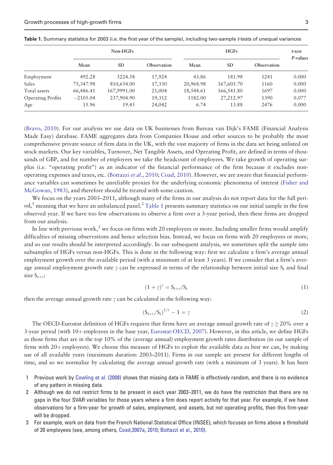|                   |            | Non-HGFs    |             |           | $t$ -test<br>P-values |             |       |
|-------------------|------------|-------------|-------------|-----------|-----------------------|-------------|-------|
|                   | Mean       | <b>SD</b>   | Observation | Mean      | <b>SD</b>             | Observation |       |
| Employment        | 492.28     | 5224.58     | 17,924      | 43.86     | 181.98                | 1241        | 0.000 |
| Sales             | 75,347.98  | 810,654.00  | 17,330      | 20,968.98 | 167,605.70            | 1160        | 0.000 |
| Total assets      | 66,486.41  | 167,9991.00 | 21,004      | 18,544.61 | 166,541.80            | 1697        | 0.000 |
| Operating Profits | $-2105.04$ | 237,904.90  | 19,312      | 1182.00   | 27,212.97             | 1390        | 0.077 |
| Age               | 15.96      | 19.45       | 24,042      | 6.74      | 13.88                 | 2476        | 0.000 |

Table 1. Summary statistics for 2003 (i.e. the first year of the sample), including two-sample t-tests of unequal variances

[\(Bravo, 2010](#page-13-0)). For our analysis we use data on UK businesses from Bureau van Dijk's FAME (Financial Analysis Made Easy) database. FAME aggregates data from Companies House and other sources to be probably the most comprehensive private source of firm data in the UK, with the vast majority of firms in the data set being unlisted on stock markets. Our key variables, Turnover, Net Tangible Assets, and Operating Profit, are defined in terms of thousands of GBP, and for number of employees we take the headcount of employees. We take growth of operating surplus (i.e. "operating profit") as an indicator of the financial performance of the firm because it excludes non-operating expenses and taxes, etc. ([Bottazzi](#page-13-0) et al., 2010; [Coad, 2010](#page-13-0)). However, we are aware that financial performance variables can sometimes be unreliable proxies for the underlying economic phenomena of interest ([Fisher and](#page-14-0) [McGowan, 1983\)](#page-14-0), and therefore should be treated with some caution.

We focus on the years 2003–2011, although many of the firms in our analysis do not report data for the full period,<sup>1</sup> meaning that we have an unbalanced panel.<sup>2</sup> Table 1 presents summary statistics on our initial sample in the first observed year. If we have too few observations to observe a firm over a 3-year period, then these firms are dropped from our analysis.

In line with previous work, $3$  we focus on firms with 20 employees or more. Including smaller firms would amplify difficulties of missing observations and hence selection bias. Instead, we focus on firms with 20 employees or more, and so our results should be interpreted accordingly. In our subsequent analysis, we sometimes split the sample into subsamples of HGFs versus non-HGFs. This is done in the following way: first we calculate a firm's average annual employment growth over the available period (with a minimum of at least 3 years). If we consider that a firm's average annual employment growth rate  $\gamma$  can be expressed in terms of the relationship between initial size S<sub>t</sub> and final size  $S_{t+\tau}$ :

$$
(1+\gamma)^{\tau} = S_{t+\tau}/S_t \tag{1}
$$

then the average annual growth rate  $\gamma$  can be calculated in the following way:

$$
\left(S_{t+\tau}/S_t\right)^{1/\tau} - 1 = \gamma \tag{2}
$$

The OECD-Eurostat definition of HGFs requires that firms have an average annual growth rate of  $\gamma \geq 20\%$  over a 3-year period (with 10+ employees in the base year, [Eurostat-OECD, 2007\)](#page-14-0). However, in this article, we define HGFs as those firms that are in the top 10% of the (average annual) employment growth rates distribution (in our sample of firms with 20+ employees). We choose this measure of HGFs to exploit the available data as best we can, by making use of all available years (maximum duration: 2003–2011). Firms in our sample are present for different lengths of time, and so we normalize by calculating the average annual growth rate (with a minimum of 3 years). It has been

- 1 Previous work by [Cowling et al. \(2008\)](#page-14-0) shows that missing data in FAME is effectively random, and there is no evidence of any pattern in missing data.
- 2 Although we do not restrict firms to be present in each year 2003–2011, we do have the restriction that there are no gaps in the four SVAR variables for those years where a firm does report activity for that year. For example, if we have observations for a firm-year for growth of sales, employment, and assets, but not operating profits, then this firm-year will be dropped.
- 3 For example, work on data from the French National Statistical Office (INSEE), which focuses on firms above a threshold of 20 employees (see, among others, [Coad,2007a](#page-13-0), [2010](#page-13-0); [Bottazzi et al., 2010\).](#page-13-0)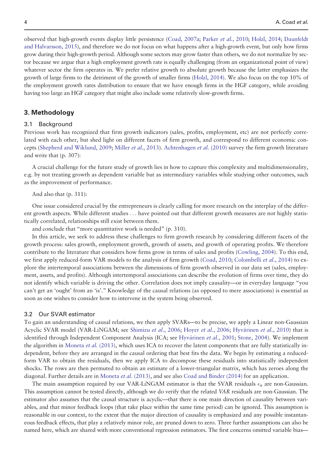observed that high-growth events display little persistence ([Coad, 2007a;](#page-13-0) [Parker](#page-15-0) et al., 2010; [Holzl, 2014;](#page-14-0) [Daunfeldt](#page-14-0) [and Halvarsson, 2015\)](#page-14-0), and therefore we do not focus on what happens after a high-growth event, but only how firms grow during their high-growth period. Although some sectors may grow faster than others, we do not normalize by sector because we argue that a high employment growth rate is equally challenging (from an organizational point of view) whatever sector the firm operates in. We prefer relative growth to absolute growth because the latter emphasizes the growth of large firms to the detriment of the growth of smaller firms ([Holzl, 2014\)](#page-14-0). We also focus on the top 10% of the employment growth rates distribution to ensure that we have enough firms in the HGF category, while avoiding having too large an HGF category that might also include some relatively slow-growth firms.

#### 3. Methodology

#### 3.1 Background

Previous work has recognized that firm growth indicators (sales, profits, employment, etc) are not perfectly correlated with each other, but shed light on different facets of firm growth, and correspond to different economic con-cepts ([Shepherd and Wiklund, 2009](#page-15-0); Miller et al.[, 2013](#page-15-0)). [Achtenhagen](#page-13-0) et al. (2010) survey the firm growth literature and write that (p. 307):

A crucial challenge for the future study of growth lies in how to capture this complexity and multidimensionality, e.g. by not treating growth as dependent variable but as intermediary variables while studying other outcomes, such as the improvement of performance.

#### And also that (p. 311):

One issue considered crucial by the entrepreneurs is clearly calling for more research on the interplay of the different growth aspects. While different studies ... have pointed out that different growth measures are not highly statistically correlated, relationships still exist between them.

and conclude that "more quantitative work is needed" (p. 310).

In this article, we seek to address these challenges to firm growth research by considering different facets of the growth process: sales growth, employment growth, growth of assets, and growth of operating profits. We therefore contribute to the literature that considers how firms grow in terms of sales and profits [\(Cowling, 2004\)](#page-14-0). To this end, we first apply reduced-form VAR models to the analysis of firm growth [\(Coad, 2010;](#page-13-0) [Colombelli](#page-14-0) *et al.*, 2014) to explore the intertemporal associations between the dimensions of firm growth observed in our data set (sales, employment, assets, and profits). Although intertemporal associations can describe the evolution of firms over time, they do not identify which variable is driving the other. Correlation does not imply causality—or in everyday language "you can't get an 'ought' from an 'is'." Knowledge of the causal relations (as opposed to mere associations) is essential as soon as one wishes to consider how to intervene in the system being observed.

#### 3.2 Our SVAR estimator

To gain an understanding of causal relations, we then apply SVARs—to be precise, we apply a Linear non-Gaussian Acyclic SVAR model (VAR-LiNGAM; see [Shimizu](#page-15-0) et al.[, 2006](#page-14-0); Hoyer et al., 2006; [Hyv](#page-14-0)ärinen et al.[, 2010](#page-14-0)) that is identified through Independent Component Analysis (ICA; see [Hyv](#page-14-0)ärinen et al.[, 2001;](#page-14-0) [Stone, 2004\)](#page-15-0). We implement the algorithm in [Moneta](#page-15-0) et al. (2013), which uses ICA to recover the latent components that are fully statistically independent, before they are arranged in the causal ordering that best fits the data. We begin by estimating a reducedform VAR to obtain the residuals, then we apply ICA to decompose these residuals into statistically independent shocks. The rows are then permuted to obtain an estimate of a lower-triangular matrix, which has zeroes along the diagonal. Further details are in [Moneta](#page-15-0) et al. (2013), and see also [Coad and Binder \(2014\)](#page-13-0) for an application.

The main assumption required by our VAR-LiNGAM estimator is that the SVAR residuals  $\epsilon_{\rm{it}}$  are non-Gaussian. This assumption cannot be tested directly, although we do verify that the related VAR residuals are non-Gaussian. The estimator also assumes that the causal structure is acyclic—that there is one main direction of causality between variables, and that minor feedback loops (that take place within the same time period) can be ignored. This assumption is reasonable in our context, to the extent that the major direction of causality is emphasized and any possible instantaneous feedback effects, that play a relatively minor role, are pruned down to zero. Three further assumptions can also be named here, which are shared with more conventional regression estimators. The first concerns omitted variable bias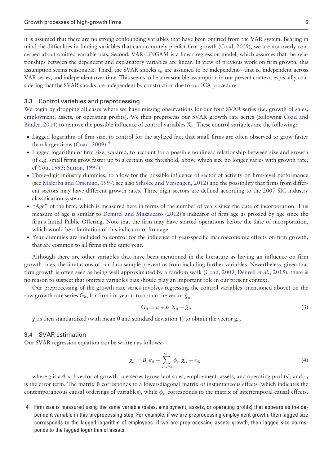<span id="page-5-0"></span>it is assumed that there are no strong confounding variables that have been omitted from the VAR system. Bearing in mind the difficulties in finding variables that can accurately predict firm growth [\(Coad, 2009\)](#page-13-0), we are not overly concerned about omitted variable bias. Second, VAR-LiNGAM is a linear regression model, which assumes that the relationships between the dependent and explanatory variables are linear. In view of previous work on firm growth, this assumption seems reasonable. Third, the SVAR shocks  $\epsilon_{it}$  are assumed to be independent—that is, independent across VAR series, and independent over time. This seems to be a reasonable assumption in our present context, especially considering that the SVAR shocks are independent by construction due to our ICA procedure.

#### 3.3 Control variables and preprocessing

We begin by dropping all cases where we have missing observations for our four SVAR series (i.e. growth of sales, employment, assets, or operating profits). We then preprocess our SVAR growth rate series (following [Coad and](#page-13-0) [Binder, 2014\)](#page-13-0) to remove the possible influence of control variables  $X_{it}$ . These control variables are the following:

- Lagged logarithm of firm size, to control for the stylized fact that small firms are often observed to grow faster than larger firms [\(Coad, 2009](#page-13-0)).<sup>4</sup>
- Lagged logarithm of firm size, squared, to account for a possible nonlinear relationship between size and growth (if e.g. small firms grow faster up to a certain size threshold, above which size no longer varies with growth rate; cf [You, 1995;](#page-15-0) [Sutton, 1997](#page-15-0)).
- Three-digit industry dummies, to allow for the possible influence of sector of activity on firm-level performance (see [Malerba and Orsenigo, 1997](#page-15-0); see also [Srholec and Verspagen, 2012](#page-15-0)) and the possibility that firms from different sectors may have different growth rates. Three-digit sectors are defined according to the 2007 SIC industry classification system.
- "Age" of the firm, which is measured here in terms of the number of years since the date of incorporation. This measure of age is similar to [Demirel and Mazzucato \(2012\)'](#page-14-0)s indicator of firm age as proxied by age since the firm's Initial Public Offering. Note that the firm may have started operations before the date of incorporation, which would be a limitation of this indicator of firm age.
- Year dummies are included to control for the influence of year-specific macroeconomic effects on firm growth, that are common to all firms in the same year.

Although there are other variables that have been mentioned in the literature as having an influence on firm growth rates, the limitations of our data sample prevent us from including further variables. Nevertheless, given that firm growth is often seen as being well approximated by a random walk ([Coad, 2009](#page-13-0); [Denrell](#page-14-0) et al., 2015), there is no reason to suspect that omitted variables bias should play an important role in our present context.

Our preprocessing of the growth rate series involves regressing the control variables (mentioned above) on the raw growth rate series  $G_{it}$ , for firm i in year t, to obtain the vector  $\hat{g}_{it}$ .

$$
G_{it} = a + b X_{it} + \hat{g}_{it} \tag{3}
$$

 $\hat{g}_{it}$  is then standardized (with mean 0 and standard deviation 1) to obtain the vector  $g_{it}$ .

#### 3.4 SVAR estimation

Our SVAR regression equation can be written as follows:

$$
g_{it} = B g_{it} + \sum_{\tau=t-s}^{t-1} \phi_{\tau} g_{i\tau} + \epsilon_{it}, \qquad (4)
$$

where g is a 4  $\times$  1 vector of growth rate series (growth of sales, employment, assets, and operating profits), and  $\epsilon_{\rm{ir}}$ is the error term. The matrix B corresponds to a lower-diagonal matrix of instantaneous effects (which indicates the contemporaneous causal orderings of variables), while  $\phi_{i\tau}$  corresponds to the matrix of intertemporal causal effects.

Firm size is measured using the same variable (sales, employment, assets, or operating profits) that appears as the dependent variable in this preprocessing step. For example, if we are preprocessing employment growth, then lagged size corresponds to the lagged logarithm of employees. If we are preprocessing assets growth, then lagged size corresponds to the lagged logarithm of assets.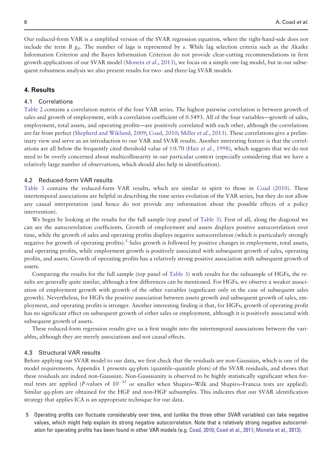Our reduced-form VAR is a simplified version of the SVAR regression equation, where the right-hand-side does not include the term B  $g_{it}$ . The number of lags is represented by s. While lag selection criteria such as the Akaike Information Criterion and the Bayes Information Criterion do not provide clear-cutting recommendations in firm growth applications of our SVAR model ([Moneta](#page-15-0) *et al.*, 2013), we focus on a simple one-lag model, but in our subsequent robustness analysis we also present results for two- and three-lag SVAR models.

#### 4. Results

#### 4.1 Correlations

[Table 2](#page-7-0) contains a correlation matrix of the four VAR series. The highest pairwise correlation is between growth of sales and growth of employment, with a correlation coefficient of 0.5493. All of the four variables—growth of sales, employment, total assets, and operating profits—are positively correlated with each other, although the correlations are far from perfect ([Shepherd and Wiklund, 2009;](#page-15-0) [Coad, 2010](#page-13-0); Miller et al.[, 2013\)](#page-15-0). These correlations give a preliminary view and serve as an introduction to our VAR and SVAR results. Another interesting feature is that the correlations are all below the frequently cited threshold value of  $\pm 0.70$  (Hair *et al.*[, 1998](#page-14-0)), which suggests that we do not need to be overly concerned about multicollinearity in our particular context (especially considering that we have a relatively large number of observations, which should also help in identification).

#### 4.2 Reduced-form VAR results

[Table 3](#page-8-0) contains the reduced-form VAR results, which are similar in spirit to those in [Coad \(2010\).](#page-13-0) These intertemporal associations are helpful in describing the time series evolution of the VAR series, but they do not allow any causal interpretation (and hence do not provide any information about the possible effects of a policy intervention).

We begin by looking at the results for the full sample (top panel of [Table 3](#page-8-0)). First of all, along the diagonal we can see the autocorrelation coefficients. Growth of employment and assets displays positive autocorrelation over time, while the growth of sales and operating profits displays negative autocorrelation (which is particularly strongly negative for growth of operating profits).<sup>5</sup> Sales growth is followed by positive changes in employment, total assets, and operating profits, while employment growth is positively associated with subsequent growth of sales, operating profits, and assets. Growth of operating profits has a relatively strong positive association with subsequent growth of assets.

Comparing the results for the full sample (top panel of [Table 3\)](#page-8-0) with results for the subsample of HGFs, the results are generally quite similar, although a few differences can be mentioned. For HGFs, we observe a weaker association of employment growth with growth of the other variables (significant only in the case of subsequent sales growth). Nevertheless, for HGFs the positive association between assets growth and subsequent growth of sales, employment, and operating profits is stronger. Another interesting finding is that, for HGFs, growth of operating profit has no significant effect on subsequent growth of either sales or employment, although it is positively associated with subsequent growth of assets.

These reduced-form regression results give us a first insight into the intertemporal associations between the variables, although they are merely associations and not causal effects.

#### 4.3 Structural VAR results

Before applying our SVAR model to our data, we first check that the residuals are non-Gaussian, which is one of the model requirements. Appendix 1 presents qq-plots (quantile–quantile plots) of the SVAR residuals, and shows that these residuals are indeed non-Gaussian. Non-Gaussianity is observed to be highly statistically significant when formal tests are applied (P-values of  $10^{-35}$  or smaller when Shapiro–Wilk and Shapiro–Francia tests are applied). Similar qq-plots are obtained for the HGF and non-HGF subsamples. This indicates that our SVAR identification strategy that applies ICA is an appropriate technique for our data.

5 Operating profits can fluctuate considerably over time, and (unlike the three other SVAR variables) can take negative values, which might help explain its strong negative autocorrelation. Note that a relatively strong negative autocorrelation for operating profits has been found in other VAR models (e.g. [Coad, 2010](#page-13-0); [Coad et al., 2011;](#page-14-0) [Moneta et al., 2013\).](#page-15-0)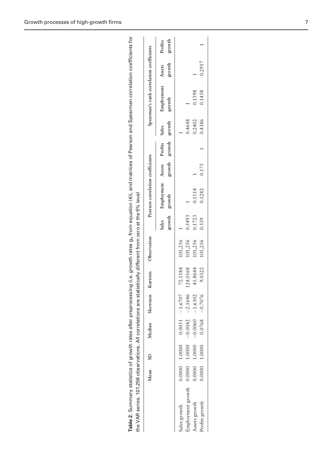| the VAR series. 101,256 observations. All correlations are statistically different from zero at the 5% level |        |                         |             |                   |                   |             |                 |                                  |                  |                   |                  |                                          |                  |                   |
|--------------------------------------------------------------------------------------------------------------|--------|-------------------------|-------------|-------------------|-------------------|-------------|-----------------|----------------------------------|------------------|-------------------|------------------|------------------------------------------|------------------|-------------------|
|                                                                                                              | Mean   | $\overline{\mathbf{S}}$ | ledian<br>⋝ |                   | Skewness Kurtosis | Observation |                 | Pearson correlation coefficients |                  |                   |                  | Spearman's rank correlation coefficients |                  |                   |
|                                                                                                              |        |                         |             |                   |                   |             | growth<br>Sales | Employment<br>growth             | Assets<br>growth | growth<br>Profits | Sales<br>growth  | Employment<br>growth                     | growth<br>Assets | growth<br>Profits |
| Sales growth                                                                                                 | 0.0000 | 1.0000                  | 0.0051      | $-1.6707$         | 72.1184           | 101,256     |                 |                                  |                  |                   |                  |                                          |                  |                   |
| Employment growth                                                                                            | 0.0000 | 1.0000                  | 0.0042<br>I | $-2.1646$         | 124.0168          | 101,256     | 0.5493          |                                  |                  |                   |                  |                                          |                  |                   |
| Assets growth                                                                                                | 0.0000 | 1.0000                  | 0.0060<br>I | $-1.6302$         | 41.8644           | 101,256     | 0.1723          |                                  |                  |                   | 0.4648<br>0.2402 | 0.1598                                   |                  |                   |
| Profits growth                                                                                               | 0.0000 | 1.0000                  |             | $0.0768 - 0.7076$ | 9.0322            | 101,256     | 0.339           | 0.1114<br>0.1282                 | 0.175            |                   | 0.4386           | 0.1458                                   | 0.2917           |                   |
|                                                                                                              |        |                         |             |                   |                   |             |                 |                                  |                  |                   |                  |                                          |                  |                   |

<span id="page-7-0"></span>Table 2. Summary statistics of growth rates after preprocessing (i.e. growth rates  $g_{it}$  from equation (4)), and matrices of Pearson and Spearman correlation coefficients for Table 2. Summary statistics of growth rates after preprocessing (i.e. growth rates git from equation (4)), and matrices of Pearson and Spearman correlation coefficients for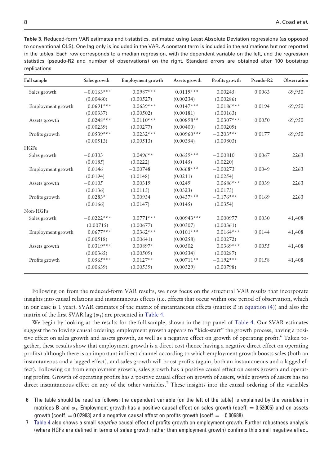<span id="page-8-0"></span>Table 3. Reduced-form VAR estimates and t-statistics, estimated using Least Absolute Deviation regressions (as opposed to conventional OLS). One lag only is included in the VAR. A constant term is included in the estimations but not reported in the tables. Each row corresponds to a median regression, with the dependent variable on the left, and the regression statistics (pseudo-R2 and number of observations) on the right. Standard errors are obtained after 100 bootstrap replications

| Full sample       | Sales growth | Employment growth | Assets growth | Profits growth | Pseudo-R2 | Observation |
|-------------------|--------------|-------------------|---------------|----------------|-----------|-------------|
| Sales growth      | $-0.0163***$ | $0.0987***$       | $0.0119***$   | 0.00245        | 0.0063    | 69,950      |
|                   | (0.00460)    | (0.00527)         | (0.00234)     | (0.00286)      |           |             |
| Employment growth | $0.0691***$  | $0.0639***$       | $0.0147***$   | $0.0186***$    | 0.0194    | 69,950      |
|                   | (0.00337)    | (0.00502)         | (0.00181)     | (0.00163)      |           |             |
| Assets growth     | $0.0248***$  | $0.0110***$       | $0.00898**$   | $0.0307***$    | 0.0050    | 69,950      |
|                   | (0.00239)    | (0.00277)         | (0.00400)     | (0.00209)      |           |             |
| Profits growth    | $0.0539***$  | $0.0232***$       | $0.00960***$  | $-0.203***$    | 0.0177    | 69,950      |
|                   | (0.00513)    | (0.00513)         | (0.00354)     | (0.00803)      |           |             |
| <b>HGFs</b>       |              |                   |               |                |           |             |
| Sales growth      | $-0.0303$    | $0.0496**$        | $0.0659***$   | $-0.00810$     | 0.0067    | 2263        |
|                   | (0.0185)     | (0.0222)          | (0.0145)      | (0.0220)       |           |             |
| Employment growth | 0.0146       | $-0.00748$        | $0.0668***$   | $-0.00273$     | 0.0049    | 2263        |
|                   | (0.0194)     | (0.0148)          | (0.0211)      | (0.0254)       |           |             |
| Assets growth     | $-0.0105$    | 0.00319           | 0.0249        | $0.0686***$    | 0.0039    | 2263        |
|                   | (0.0136)     | (0.0115)          | (0.0323)      | (0.0173)       |           |             |
| Profits growth    | $0.0283*$    | 0.00934           | $0.0437***$   | $-0.176***$    | 0.0169    | 2263        |
|                   | (0.0166)     | (0.0147)          | (0.0145)      | (0.0354)       |           |             |
| Non-HGFs          |              |                   |               |                |           |             |
| Sales growth      | $-0.0222***$ | $0.0771***$       | $0.00943***$  | 0.000977       | 0.0030    | 41,408      |
|                   | (0.00715)    | (0.00677)         | (0.00307)     | (0.00361)      |           |             |
| Employment growth | $0.0677***$  | $0.0362***$       | $0.0101***$   | $0.0164***$    | 0.0144    | 41,408      |
|                   | (0.00518)    | (0.00641)         | (0.00258)     | (0.00272)      |           |             |
| Assets growth     | $0.0319***$  | $0.00897*$        | 0.00502       | $0.0369***$    | 0.0055    | 41,408      |
|                   | (0.00365)    | (0.00509)         | (0.00534)     | (0.00287)      |           |             |
| Profits growth    | $0.0565***$  | $0.0127**$        | $0.00711**$   | $-0.192***$    | 0.0158    | 41,408      |
|                   | (0.00639)    | (0.00539)         | (0.00329)     | (0.00798)      |           |             |
|                   |              |                   |               |                |           |             |

Following on from the reduced-form VAR results, we now focus on the structural VAR results that incorporate insights into causal relations and instantaneous effects (i.e. effects that occur within one period of observation, which in our case is 1 year). SVAR estimates of the matrix of instantaneous effects (matrix B in [equation \(4\)\)](#page-5-0) and also the matrix of the first SVAR lag  $(\phi_1)$  are presented in [Table 4.](#page-9-0)

We begin by looking at the results for the full sample, shown in the top panel of [Table 4](#page-9-0). Our SVAR estimates suggest the following causal ordering: employment growth appears to "kick-start" the growth process, having a positive effect on sales growth and assets growth, as well as a negative effect on growth of operating profit.<sup>6</sup> Taken together, these results show that employment growth is a direct cost (hence having a negative direct effect on operating profits) although there is an important indirect channel according to which employment growth boosts sales (both an instantaneous and a lagged effect), and sales growth will boost profits (again, both an instantaneous and a lagged effect). Following on from employment growth, sales growth has a positive causal effect on assets growth and operating profits. Growth of operating profits has a positive causal effect on growth of assets, while growth of assets has no direct instantaneous effect on any of the other variables.<sup>7</sup> These insights into the causal ordering of the variables

- 6 The table should be read as follows: the dependent variable (on the left of the table) is explained by the variables in matrices B and  $\varphi_1$ . Employment growth has a positive causal effect on sales growth (coeff.  $= 0.52005$ ) and on assets growth (coeff.  $= 0.02993$ ) and a negative causal effect on profits growth (coeff.  $= -0.00688$ ).
- 7 [Table 4](#page-9-0) also shows a small *negative* causal effect of profits growth on employment growth. Further robustness analysis (where HGFs are defined in terms of sales growth rather than employment growth) confirms this small negative effect.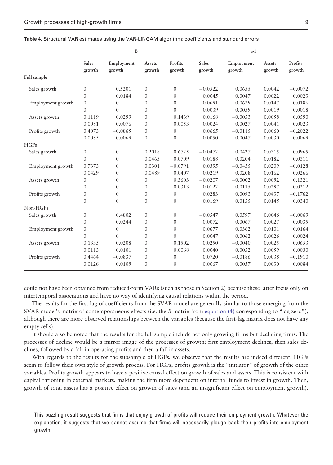|                   |                        | B                    |                  |                   | $\varphi$ 1     |                      |                  |                   |  |  |
|-------------------|------------------------|----------------------|------------------|-------------------|-----------------|----------------------|------------------|-------------------|--|--|
|                   | <b>Sales</b><br>growth | Employment<br>growth | Assets<br>growth | Profits<br>growth | Sales<br>growth | Employment<br>growth | Assets<br>growth | Profits<br>growth |  |  |
| Full sample       |                        |                      |                  |                   |                 |                      |                  |                   |  |  |
| Sales growth      | $\overline{0}$         | 0.5201               | $\Omega$         | $\Omega$          | $-0.0522$       | 0.0655               | 0.0042           | $-0.0072$         |  |  |
|                   | $\mathbf{0}$           | 0.0184               | $\mathbf{0}$     | $\mathbf{0}$      | 0.0045          | 0.0047               | 0.0022           | 0.0023            |  |  |
| Employment growth | $\mathbf{0}$           | $\mathbf{0}$         | $\mathbf{0}$     | $\mathbf{0}$      | 0.0691          | 0.0639               | 0.0147           | 0.0186            |  |  |
|                   | $\Omega$               | $\Omega$             | $\mathbf{0}$     | $\theta$          | 0.0039          | 0.0059               | 0.0019           | 0.0018            |  |  |
| Assets growth     | 0.1119                 | 0.0299               | $\mathbf{0}$     | 0.1439            | 0.0168          | $-0.0053$            | 0.0058           | 0.0590            |  |  |
|                   | 0.0081                 | 0.0076               | $\mathbf{0}$     | 0.0053            | 0.0024          | 0.0027               | 0.0041           | 0.0023            |  |  |
| Profits growth    | 0.4073                 | $-0.0865$            | $\mathbf{0}$     | $\mathbf{0}$      | 0.0665          | $-0.0115$            | 0.0060           | $-0.2022$         |  |  |
|                   | 0.0085                 | 0.0069               | $\mathbf{0}$     | $\mathbf{0}$      | 0.0050          | 0.0047               | 0.0030           | 0.0069            |  |  |
| HGFs              |                        |                      |                  |                   |                 |                      |                  |                   |  |  |
| Sales growth      | $\boldsymbol{0}$       | $\mathbf{0}$         | 0.2018           | 0.6725            | $-0.0472$       | 0.0427               | 0.0315           | 0.0965            |  |  |
|                   | $\Omega$               | $\Omega$             | 0.0465           | 0.0709            | 0.0188          | 0.0204               | 0.0182           | 0.0311            |  |  |
| Employment growth | 0.7373                 | $\mathbf{0}$         | 0.0301           | $-0.0791$         | 0.0395          | $-0.0435$            | 0.0209           | $-0.0128$         |  |  |
|                   | 0.0429                 | $\mathbf{0}$         | 0.0489           | 0.0407            | 0.0219          | 0.0208               | 0.0162           | 0.0266            |  |  |
| Assets growth     | $\overline{0}$         | $\mathbf{0}$         | $\mathbf{0}$     | 0.3603            | $-0.0207$       | $-0.0002$            | 0.0092           | 0.1321            |  |  |
|                   | $\mathbf{0}$           | $\mathbf{0}$         | $\mathbf{0}$     | 0.0313            | 0.0122          | 0.0115               | 0.0287           | 0.0212            |  |  |
| Profits growth    | $\mathbf{0}$           | $\Omega$             | $\mathbf{0}$     | $\overline{0}$    | 0.0283          | 0.0093               | 0.0437           | $-0.1762$         |  |  |
|                   | $\mathbf{0}$           | $\mathbf{0}$         | $\mathbf{0}$     | $\mathbf{0}$      | 0.0169          | 0.0155               | 0.0145           | 0.0340            |  |  |
| Non-HGFs          |                        |                      |                  |                   |                 |                      |                  |                   |  |  |
| Sales growth      | $\mathbf{0}$           | 0.4802               | $\mathbf{0}$     | $\mathbf{0}$      | $-0.0547$       | 0.0597               | 0.0046           | $-0.0069$         |  |  |
|                   | $\mathbf{0}$           | 0.0244               | $\boldsymbol{0}$ | $\mathbf{0}$      | 0.0072          | 0.0067               | 0.0027           | 0.0035            |  |  |
| Employment growth | $\mathbf{0}$           | $\Omega$             | $\mathbf{0}$     | $\Omega$          | 0.0677          | 0.0362               | 0.0101           | 0.0164            |  |  |
|                   | $\Omega$               | $\Omega$             | $\mathbf{0}$     | $\mathbf{0}$      | 0.0047          | 0.0062               | 0.0026           | 0.0024            |  |  |
| Assets growth     | 0.1335                 | 0.0208               | $\boldsymbol{0}$ | 0.1502            | 0.0250          | $-0.0040$            | 0.0025           | 0.0653            |  |  |
|                   | 0.0113                 | 0.0101               | $\mathbf{0}$     | 0.0068            | 0.0040          | 0.0052               | 0.0059           | 0.0030            |  |  |
| Profits growth    | 0.4464                 | $-0.0837$            | $\mathbf{0}$     | $\mathbf{0}$      | 0.0720          | $-0.0186$            | 0.0038           | $-0.1910$         |  |  |
|                   | 0.0126                 | 0.0109               | $\mathbf{0}$     | $\theta$          | 0.0067          | 0.0057               | 0.0030           | 0.0084            |  |  |

<span id="page-9-0"></span>

could not have been obtained from reduced-form VARs (such as those in Section 2) because these latter focus only on intertemporal associations and have no way of identifying causal relations within the period.

The results for the first lag of coefficients from the SVAR model are generally similar to those emerging from the SVAR model's matrix of contemporaneous effects (i.e. the B matrix from [equation \(4\)](#page-5-0) corresponding to "lag zero"), although there are more observed relationships between the variables (because the first-lag matrix does not have any empty cells).

It should also be noted that the results for the full sample include not only growing firms but declining firms. The processes of decline would be a mirror image of the processes of growth: first employment declines, then sales declines, followed by a fall in operating profits and then a fall in assets.

With regards to the results for the subsample of HGFs, we observe that the results are indeed different. HGFs seem to follow their own style of growth process. For HGFs, profits growth is the "initiator" of growth of the other variables. Profits growth appears to have a positive causal effect on growth of sales and assets. This is consistent with capital rationing in external markets, making the firm more dependent on internal funds to invest in growth. Then, growth of total assets has a positive effect on growth of sales (and an insignificant effect on employment growth).

This puzzling result suggests that firms that enjoy growth of profits will reduce their employment growth. Whatever the explanation, it suggests that we cannot assume that firms will necessarily plough back their profits into employment growth.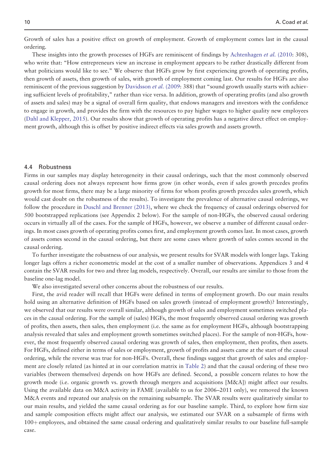Growth of sales has a positive effect on growth of employment. Growth of employment comes last in the causal ordering.

These insights into the growth processes of HGFs are reminiscent of findings by [Achtenhagen](#page-13-0) et al. (2010: 308), who write that: "How entrepreneurs view an increase in employment appears to be rather drastically different from what politicians would like to see." We observe that HGFs grow by first experiencing growth of operating profits, then growth of assets, then growth of sales, with growth of employment coming last. Our results for HGFs are also reminiscent of the previous suggestion by [Davidsson](#page-14-0) et al. (2009: 388) that "sound growth usually starts with achieving sufficient levels of profitability," rather than vice versa. In addition, growth of operating profits (and also growth of assets and sales) may be a signal of overall firm quality, that endows managers and investors with the confidence to engage in growth, and provides the firm with the resources to pay higher wages to higher quality new employees [\(Dahl and Klepper, 2015](#page-14-0)). Our results show that growth of operating profits has a negative direct effect on employment growth, although this is offset by positive indirect effects via sales growth and assets growth.

#### 4.4 Robustness

Firms in our samples may display heterogeneity in their causal orderings, such that the most commonly observed causal ordering does not always represent how firms grow (in other words, even if sales growth precedes profits growth for most firms, there may be a large minority of firms for whom profits growth precedes sales growth, which would cast doubt on the robustness of the results). To investigate the prevalence of alternative causal orderings, we follow the procedure in [Duschl and Brenner \(2013\)](#page-14-0), where we check the frequency of causal orderings observed for 500 bootstrapped replications (see Appendix 2 below). For the sample of non-HGFs, the observed causal ordering occurs in virtually all of the cases. For the sample of HGFs, however, we observe a number of different causal orderings. In most cases growth of operating profits comes first, and employment growth comes last. In most cases, growth of assets comes second in the causal ordering, but there are some cases where growth of sales comes second in the causal ordering.

To further investigate the robustness of our analysis, we present results for SVAR models with longer lags. Taking longer lags offers a richer econometric model at the cost of a smaller number of observations. Appendices 3 and 4 contain the SVAR results for two and three lag models, respectively. Overall, our results are similar to those from the baseline one-lag model.

We also investigated several other concerns about the robustness of our results.

First, the avid reader will recall that HGFs were defined in terms of employment growth. Do our main results hold using an alternative definition of HGFs based on sales growth (instead of employment growth)? Interestingly, we observed that our results were overall similar, although growth of sales and employment sometimes switched places in the causal ordering. For the sample of (sales) HGFs, the most frequently observed causal ordering was growth of profits, then assets, then sales, then employment (i.e. the same as for employment HGFs, although bootstrapping analysis revealed that sales and employment growth sometimes switched places). For the sample of non-HGFs, however, the most frequently observed causal ordering was growth of sales, then employment, then profits, then assets. For HGFs, defined either in terms of sales or employment, growth of profits and assets came at the start of the causal ordering, while the reverse was true for non-HGFs. Overall, these findings suggest that growth of sales and employment are closely related (as hinted at in our correlation matrix in [Table 2\)](#page-7-0) and that the causal ordering of these two variables (between themselves) depends on how HGFs are defined. Second, a possible concern relates to how the growth mode (i.e. organic growth vs. growth through mergers and acquisitions [M&A]) might affect our results. Using the available data on M&A activity in FAME (available to us for 2006–2011 only), we removed the known M&A events and repeated our analysis on the remaining subsample. The SVAR results were qualitatively similar to our main results, and yielded the same causal ordering as for our baseline sample. Third, to explore how firm size and sample composition effects might affect our analysis, we estimated our SVAR on a subsample of firms with 100+ employees, and obtained the same causal ordering and qualitatively similar results to our baseline full-sample case.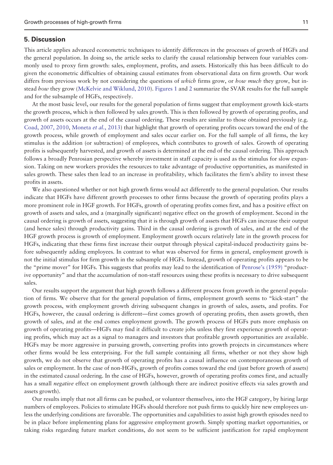#### 5. Discussion

This article applies advanced econometric techniques to identify differences in the processes of growth of HGFs and the general population. In doing so, the article seeks to clarify the causal relationship between four variables commonly used to proxy firm growth: sales, employment, profits, and assets. Historically this has been difficult to do given the econometric difficulties of obtaining causal estimates from observational data on firm growth. Our work differs from previous work by not considering the questions of *which* firms grow, or *how much* they grow, but in-stead how they grow ([McKelvie and Wiklund, 2010](#page-15-0)). [Figures 1](#page-12-0) and [2](#page-12-0) summarize the SVAR results for the full sample and for the subsample of HGFs, respectively.

At the most basic level, our results for the general population of firms suggest that employment growth kick-starts the growth process, which is then followed by sales growth. This is then followed by growth of operating profits, and growth of assets occurs at the end of the causal ordering. These results are similar to those obtained previously (e.g. [Coad, 2007, 2010](#page-13-0), [Moneta](#page-15-0) *et al.*, 2013) that highlight that growth of operating profits occurs toward the end of the growth process, while growth of employment and sales occur earlier on. For the full sample of all firms, the key stimulus is the addition (or subtraction) of employees, which contributes to growth of sales. Growth of operating profits is subsequently harvested, and growth of assets is determined at the end of the causal ordering. This approach follows a broadly Penrosian perspective whereby investment in staff capacity is used as the stimulus for slow expansion. Taking on new workers provides the resources to take advantage of productive opportunities, as manifested in sales growth. These sales then lead to an increase in profitability, which facilitates the firm's ability to invest these profits in assets.

We also questioned whether or not high growth firms would act differently to the general population. Our results indicate that HGFs have different growth processes to other firms because the growth of operating profits plays a more prominent role in HGF growth. For HGFs, growth of operating profits comes first, and has a positive effect on growth of assets and sales, and a (marginally significant) negative effect on the growth of employment. Second in the causal ordering is growth of assets, suggesting that it is through growth of assets that HGFs can increase their output (and hence sales) through productivity gains. Third in the causal ordering is growth of sales, and at the end of the HGF growth process is growth of employment. Employment growth occurs relatively late in the growth process for HGFs, indicating that these firms first increase their output through physical capital-induced productivity gains before subsequently adding employees. In contrast to what was observed for firms in general, employment growth is not the initial stimulus for firm growth in the subsample of HGFs. Instead, growth of operating profits appears to be the "prime mover" for HGFs. This suggests that profits may lead to the identification of [Penrose's \(1959\)](#page-15-0) "productive opportunity" and that the accumulation of non-staff resources using these profits is necessary to drive subsequent sales.

Our results support the argument that high growth follows a different process from growth in the general population of firms. We observe that for the general population of firms, employment growth seems to "kick-start" the growth process, with employment growth driving subsequent changes in growth of sales, assets, and profits. For HGFs, however, the causal ordering is different—first comes growth of operating profits, then assets growth, then growth of sales, and at the end comes employment growth. The growth process of HGFs puts more emphasis on growth of operating profits—HGFs may find it difficult to create jobs unless they first experience growth of operating profits, which may act as a signal to managers and investors that profitable growth opportunities are available. HGFs may be more aggressive in pursuing growth, converting profits into growth projects in circumstances where other firms would be less enterprising. For the full sample containing all firms, whether or not they show high growth, we do not observe that growth of operating profits has a causal influence on contemporaneous growth of sales or employment. In the case of non-HGFs, growth of profits comes toward the end (just before growth of assets) in the estimated causal ordering. In the case of HGFs, however, growth of operating profits comes first, and actually has a small *negative* effect on employment growth (although there are indirect positive effects via sales growth and assets growth).

Our results imply that not all firms can be pushed, or volunteer themselves, into the HGF category, by hiring large numbers of employees. Policies to stimulate HGFs should therefore not push firms to quickly hire new employees unless the underlying conditions are favorable. The opportunities and capabilities to assist high growth episodes need to be in place before implementing plans for aggressive employment growth. Simply spotting market opportunities, or taking risks regarding future market conditions, do not seem to be sufficient justification for rapid employment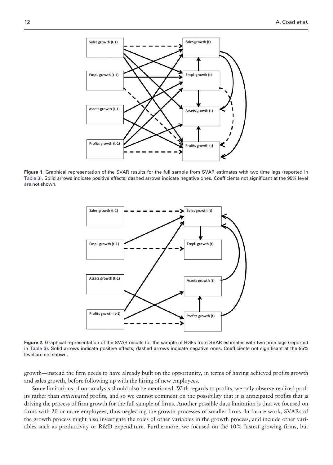<span id="page-12-0"></span>

Figure 1. Graphical representation of the SVAR results for the full sample from SVAR estimates with two time lags (reported in [Table 3](#page-8-0)). Solid arrows indicate positive effects; dashed arrows indicate negative ones. Coefficients not significant at the 95% level are not shown.



Figure 2. Graphical representation of the SVAR results for the sample of HGFs from SVAR estimates with two time lags (reported in [Table 3\)](#page-8-0). Solid arrows indicate positive effects; dashed arrows indicate negative ones. Coefficients not significant at the 95% level are not shown.

growth—instead the firm needs to have already built on the opportunity, in terms of having achieved profits growth and sales growth, before following up with the hiring of new employees.

Some limitations of our analysis should also be mentioned. With regards to profits, we only observe realized profits rather than *anticipated* profits, and so we cannot comment on the possibility that it is anticipated profits that is driving the process of firm growth for the full sample of firms. Another possible data limitation is that we focused on firms with 20 or more employees, thus neglecting the growth processes of smaller firms. In future work, SVARs of the growth process might also investigate the roles of other variables in the growth process, and include other variables such as productivity or R&D expenditure. Furthermore, we focused on the 10% fastest-growing firms, but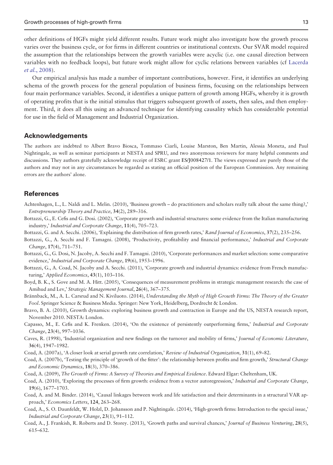<span id="page-13-0"></span>other definitions of HGFs might yield different results. Future work might also investigate how the growth process varies over the business cycle, or for firms in different countries or institutional contexts. Our SVAR model required the assumption that the relationships between the growth variables were acyclic (i.e. one causal direction between variables with no feedback loops), but future work might allow for cyclic relations between variables (cf [Lacerda](#page-14-0) et al.[, 2008](#page-14-0)).

Our empirical analysis has made a number of important contributions, however. First, it identifies an underlying schema of the growth process for the general population of business firms, focusing on the relationships between four main performance variables. Second, it identifies a unique pattern of growth among HGFs, whereby it is growth of operating profits that is the initial stimulus that triggers subsequent growth of assets, then sales, and then employment. Third, it does all this using an advanced technique for identifying causality which has considerable potential for use in the field of Management and Industrial Organization.

#### Acknowledgements

The authors are indebted to Albert Bravo Biosca, Tommaso Ciarli, Louise Marston, Ben Martin, Alessia Moneta, and Paul Nightingale, as well as seminar participants at NESTA and SPRU, and two anonymous reviewers for many helpful comments and discussions. They authors gratefully acknowledge receipt of ESRC grant ES/J008427/1. The views expressed are purely those of the authors and may not in any circumstances be regarded as stating an official position of the European Commission. Any remaining errors are the authors' alone.

#### References

- Achtenhagen, L., L. Naldi and L. Melin. (2010), 'Business growth do practitioners and scholars really talk about the same thing?,' Entrepreneurship Theory and Practice, 34(2), 289–316.
- Bottazzi, G., E. Cefis and G. Dosi. (2002), 'Corporate growth and industrial structures: some evidence from the Italian manufacturing industry,' Industrial and Corporate Change, 11(4), 705–723.
- Bottazzi, G. and A. Secchi. (2006), 'Explaining the distribution of firm growth rates,' Rand Journal of Economics, 37(2), 235-256.
- Bottazzi, G., A. Secchi and F. Tamagni. (2008), 'Productivity, profitability and financial performance,' Industrial and Corporate Change, 17(4), 711–751.
- Bottazzi, G., G. Dosi, N. Jacoby, A. Secchi and F. Tamagni. (2010), 'Corporate performances and market selection: some comparative evidence,' Industrial and Corporate Change, 19(6), 1953-1996.
- Bottazzi, G., A. Coad, N. Jacoby and A. Secchi. (2011), 'Corporate growth and industrial dynamics: evidence from French manufacturing,' Applied Economics, 43(1), 103–116.
- Boyd, B. K., S. Gove and M. A. Hitt. (2005), 'Consequences of measurement problems in strategic management research: the case of Amihud and Lev,' Strategic Management Journal, 26(4), 367–375.
- Brännback, M., A. L. Carsrud and N. Kiviluoto. (2014), Understanding the Myth of High Growth Firms: The Theory of the Greater Fool. Springer Science & Business Media. Springer: New York, Heidelberg, Dordrecht & London.
- Bravo, B. A. (2010), Growth dynamics: exploring business growth and contraction in Europe and the US, NESTA research report, November 2010. NESTA: London.
- Capasso, M., E. Cefis and K. Frenken. (2014), 'On the existence of persistently outperforming firms,' Industrial and Corporate Change, 23(4), 997–1036.
- Caves, R. (1998), 'Industrial organization and new findings on the turnover and mobility of firms,' Journal of Economic Literature, 36(4), 1947–1982.
- Coad, A. (2007a), 'A closer look at serial growth rate correlation,' Review of Industrial Organization, 31(1), 69–82.
- Coad, A. (2007b), 'Testing the principle of 'growth of the fitter': the relationship between profits and firm growth,' Structural Change and Economic Dynamics, 18(3), 370–386.
- Coad, A. (2009), The Growth of Firms: A Survey of Theories and Empirical Evidence. Edward Elgar: Cheltenham, UK.
- Coad, A. (2010), 'Exploring the processes of firm growth: evidence from a vector autoregression,' Industrial and Corporate Change, 19(6), 1677–1703.
- Coad, A. and M. Binder. (2014), 'Causal linkages between work and life satisfaction and their determinants in a structural VAR approach,' Economics Letters, 124, 263–268.
- Coad, A., S. O. Daunfeldt, W. Holzl, D. Johansson and P. Nightingale. (2014), 'High-growth firms: Introduction to the special issue,' Industrial and Corporate Change, 23(1), 91–112.
- Coad, A., J. Frankish, R. Roberts and D. Storey. (2013), 'Growth paths and survival chances,' Journal of Business Venturing, 28(5), 615–632.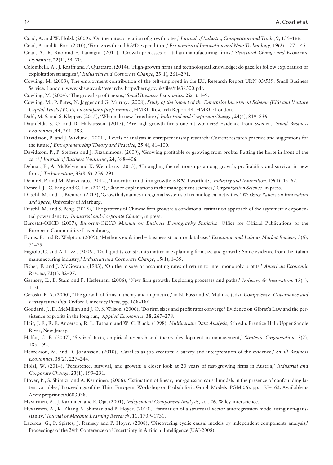<span id="page-14-0"></span>Coad, A. and W. Holzl. (2009), 'On the autocorrelation of growth rates,' Journal of Industry, Competition and Trade, 9, 139–166.

Coad, A. and R. Rao. (2010), 'Firm growth and R&D expenditure,' Economics of Innovation and New Technology, 19(2), 127–145. Coad, A., R. Rao and F. Tamagni. (2011), 'Growth processes of Italian manufacturing firms,' Structural Change and Economic Dynamics, 22(1), 54–70.

Colombelli, A., J. Krafft and F. Quatraro. (2014), 'High-growth firms and technological knowledge: do gazelles follow exploration or exploitation strategies?,' Industrial and Corporate Change, 23(1), 261-291.

Cowling, M. (2003), The employment contribution of the self-employed in the EU, Research Report URN 03/539. Small Business Service. London. [www.sbs.gov.uk/research/](http://www.sbs.gov.uk/research/).<http://berr.gov.uk/files/file38300.pdf>.

- Cowling, M. (2004), 'The growth-profit nexus,' Small Business Economics, 22(1), 1–9.
- Cowling, M., P. Bates, N. Jagger and G. Murray. (2008), Study of the impact of the Enterprise Investment Scheme (EIS) and Venture Capital Trusts (VCTs) on company performance, HMRC Research Report 44. HMRC: London.
- Dahl, M. S. and S. Klepper. (2015), 'Whom do new firms hire?,' Industrial and Corporate Change, 24(4), 819-836.
- Daunfeldt, S. O. and D. Halvarsson. (2015), 'Are high-growth firms one-hit wonders? Evidence from Sweden,' Small Business Economics, 44, 361–383.
- Davidsson, P. and J. Wiklund. (2001), 'Levels of analysis in entrepreneurship research: Current research practice and suggestions for the future,' Entrepreneurship Theory and Practice, 25(4), 81-100.
- Davidsson, P., P. Steffens and J. Fitzsimmons. (2009), 'Growing profitable or growing from profits: Putting the horse in front of the cart?,' Journal of Business Venturing, 24, 388–406.
- Delmar, F., A. McKelvie and K. Wennberg. (2013), 'Untangling the relationships among growth, profitability and survival in new firms,' Technovation, 33(8–9), 276–291.
- Demirel, P. and M. Mazzucato. (2012), 'Innovation and firm growth: is R&D worth it?,' Industry and Innovation, 19(1), 45–62.
- Denrell, J., C. Fang and C. Liu. (2015), Chance explanations in the management sciences,' Organization Science, in press.
- Duschl, M. and T. Brenner. (2013), 'Growth dynamics in regional systems of technological activities,' Working Papers on Innovation and Space, University of Marburg.
- Duschl, M. and S. Peng. (2015), 'The patterns of Chinese firm growth: a conditional estimation approach of the asymmetric exponential power density,' Industrial and Corporate Change, in press.
- Eurostat-OECD (2007), Eurostat-OECD Manual on Business Demography Statistics. Office for Official Publications of the European Communities: Luxembourg.
- Evans, P. and R. Welpton. (2009), 'Methods explained business structure database,' Economic and Labour Market Review, 3(6), 71–75.
- Fagiolo, G. and A. Luzzi. (2006), 'Do liquidity constraints matter in explaining firm size and growth? Some evidence from the Italian manufacturing industry,' Industrial and Corporate Change, 15(1), 1-39.
- Fisher, F. and J. McGowan. (1983), 'On the misuse of accounting rates of return to infer monopoly profits,' American Economic Review, 73(1), 82–97.
- Garnsey, E., E. Stam and P. Heffernan. (2006), 'New firm growth: Exploring processes and paths,' *Industry & Innovation*, 13(1),  $1 - 2.0$ .
- Geroski, P. A. (2000), 'The growth of firms in theory and in practice,' in N. Foss and V. Mahnke (eds), Competence, Governance and Entrepreneurship. Oxford University Press, pp. 168–186.
- Goddard, J., D. McMillan and J. O. S. Wilson. (2006), 'Do firm sizes and profit rates converge? Evidence on Gibrat's Law and the persistence of profits in the long run,' Applied Economics, 38, 267–278.
- Hair, J. F., R. E. Anderson, R. L. Tatham and W. C. Black. (1998), *Multivariate Data Analysis*, 5th edn. Prentice Hall: Upper Saddle River, New Jersey.
- Helfat, C. E. (2007), 'Stylized facts, empirical research and theory development in management,' Strategic Organization, 5(2), 185–192.
- Henrekson, M. and D. Johansson. (2010), 'Gazelles as job creators: a survey and interpretation of the evidence,' Small Business Economics, 35(2), 227–244.
- Holzl, W. (2014), 'Persistence, survival, and growth: a closer look at 20 years of fast-growing firms in Austria,' Industrial and Corporate Change, 23(1), 199–231.
- Hoyer, P., S. Shimizu and A. Kerminen. (2006), 'Estimation of linear, non-gaussian causal models in the presence of confounding latent variables,' Proceedings of the Third European Workshop on Probabilistic Graph Models (PGM 06), pp. 155–162. Available as Arxiv preprint cs/0603038.

Hyvärinen, A., J. Karhunen and E. Oja. (2001), Independent Component Analysis, vol. 26. Wiley-interscience.

- Hyvärinen, A., K. Zhang, S. Shimizu and P. Hoyer. (2010), 'Estimation of a structural vector autoregression model using non-gaussianity,' Journal of Machine Learning Research, 11, 1709–1731.
- Lacerda, G., P. Spirtes, J. Ramsey and P. Hoyer. (2008), 'Discovering cyclic causal models by independent components analysis,' Proceedings of the 24th Conference on Uncertainty in Artificial Intelligence (UAI-2008).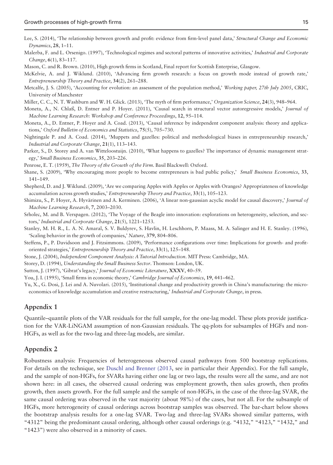- <span id="page-15-0"></span>Lee, S. (2014), 'The relationship between growth and profit: evidence from firm-level panel data,' Structural Change and Economic Dynamics, 28, 1–11.
- Malerba, F. and L. Orsenigo. (1997), 'Technological regimes and sectoral patterns of innovative activities,' Industrial and Corporate Change, 6(1), 83–117.
- Mason, C. and R. Brown. (2010), High growth firms in Scotland, Final report for Scottish Enterprise, Glasgow.
- McKelvie, A. and J. Wiklund. (2010), 'Advancing firm growth research: a focus on growth mode instead of growth rate,' Entrepreneurship Theory and Practice, 34(2), 261–288.
- Metcalfe, J. S. (2005), 'Accounting for evolution: an assessment of the population method,' Working paper, 27th July 2005, CRIC, University of Manchester
- Miller, C. C., N. T. Washburn and W. H. Glick. (2013), 'The myth of firm performance,' Organization Science, 24(3), 948-964.
- Moneta, A., N. Chlaß, D. Entner and P. Hoyer. (2011), 'Causal search in structural vector autoregressive models,' Journal of Machine Learning Research: Workshop and Conference Proceedings, 12, 95–114.
- Moneta, A., D. Entner, P. Hoyer and A. Coad. (2013), 'Causal inference by independent component analysis: theory and applications,' Oxford Bulletin of Economics and Statistics, 75(5), 705–730.
- Nightingale P. and A. Coad. (2014), 'Muppets and gazelles: political and methodological biases in entrepreneurship research,' Industrial and Corporate Change, 21(1), 113–143.
- Parker, S., D. Storey and A. van Witteloostuijn. (2010), 'What happens to gazelles? The importance of dynamic management strategy,' Small Business Economics, 35, 203–226.
- Penrose, E. T. (1959), The Theory of the Growth of the Firm. Basil Blackwell: Oxford.
- Shane, S. (2009), 'Why encouraging more people to become entrepreneurs is bad public policy,' Small Business Economics, 33, 141–149.
- Shepherd, D. and J. Wiklund. (2009), 'Are we comparing Apples with Apples or Apples with Oranges? Appropriateness of knowledge accumulation across growth studies,' Entrepreneurship Theory and Practice, 33(1), 105–123.
- Shimizu, S., P. Hoyer, A. Hyvärinen and A. Kerminen. (2006), 'A linear non-gaussian acyclic model for causal discovery,' Journal of Machine Learning Research, 7, 2003–2030.
- Srholec, M. and B. Verspagen. (2012), 'The Voyage of the Beagle into innovation: explorations on heterogeneity, selection, and sectors,' Industrial and Corporate Change, 21(5), 1221–1253.
- Stanley, M. H. R., L. A. N. Amaral, S. V. Buldyrev, S. Havlin, H. Leschhorn, P. Maass, M. A. Salinger and H. E. Stanley. (1996), 'Scaling behavior in the growth of companies,' Nature, 379, 804–806.
- Steffens, P., P. Davidsoon and J. Fitzsimmons. (2009), 'Performance configurations over time: Implications for growth- and profitoriented strategies,' Entrepreneurship Theory and Practice, 33(1), 125–148.
- Stone, J. (2004), Independent Component Analysis: A Tutorial Introduction. MIT Press: Cambridge, MA.
- Storey, D. (1994), Understanding the Small Business Sector. Thomson: London, UK.
- Sutton, J. (1997), 'Gibrat's legacy,' Journal of Economic Literature, XXXV, 40–59.
- You, J. I. (1995), 'Small firms in economic theory,' Cambridge Journal of Economics, 19, 441-462.
- Yu, X., G. Dosi, J. Lei and A. Nuvolari. (2015), 'Institutional change and productivity growth in China's manufacturing: the microeconomics of knowledge accumulation and creative restructuring,' Industrial and Corporate Change, in press.

#### Appendix 1

Quantile–quantile plots of the VAR residuals for the full sample, for the one-lag model. These plots provide justification for the VAR-LiNGAM assumption of non-Gaussian residuals. The qq-plots for subsamples of HGFs and non-HGFs, as well as for the two-lag and three-lag models, are similar.

#### Appendix 2

Robustness analysis: Frequencies of heterogeneous observed causal pathways from 500 bootstrap replications. For details on the technique, see [Duschl and Brenner \(2013,](#page-14-0) see in particular their Appendix). For the full sample, and the sample of non-HGFs, for SVARs having either one lag or two lags, the results were all the same, and are not shown here: in all cases, the observed causal ordering was employment growth, then sales growth, then profits growth, then assets growth. For the full sample and the sample of non-HGFs, in the case of the three-lag SVAR, the same causal ordering was observed in the vast majority (about 98%) of the cases, but not all. For the subsample of HGFs, more heterogeneity of causal orderings across bootstrap samples was observed. The bar-chart below shows the bootstrap analysis results for a one-lag SVAR. Two-lag and three-lag SVARs showed similar patterns, with "4312" being the predominant causal ordering, although other causal orderings (e.g. "4132," "4123," "1432," and "1423") were also observed in a minority of cases.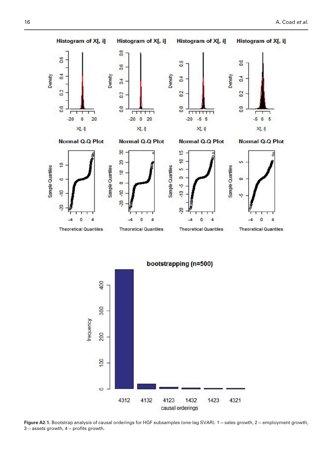

Figure A2.1. Bootstrap analysis of causal orderings for HGF subsamples (one-lag SVAR).  $1 =$  sales growth,  $2 =$  employment growth,  $3 =$  assets growth,  $4 =$  profits growth.

causal orderings

 $\circ$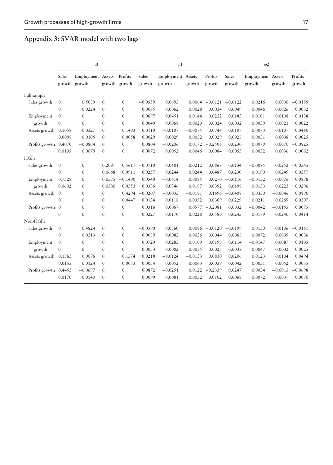### Appendix 3: SVAR model with two lags

|                       | $\mathbf{B}$     |                                           |                |                          |                 | $\varphi$ 1                        |           |                            |                 | $\varphi$ 2                 |           |                   |  |  |
|-----------------------|------------------|-------------------------------------------|----------------|--------------------------|-----------------|------------------------------------|-----------|----------------------------|-----------------|-----------------------------|-----------|-------------------|--|--|
|                       | Sales            | <b>Employment</b> Assets<br>growth growth |                | Profits<br>growth growth | Sales<br>growth | <b>Employment</b> Assets<br>growth | growth    | Profits<br>growth          | Sales<br>growth | Employment Assets<br>growth | growth    | Profits<br>growth |  |  |
| Full sample           |                  |                                           |                |                          |                 |                                    |           |                            |                 |                             |           |                   |  |  |
| Sales growth          | $\mathbf{0}$     | 0.5089                                    | $\Omega$       | $\mathbf{0}$             | $-0.0559$       | 0.0695                             |           | $0.0064 - 0.0121 - 0.0122$ |                 | 0.0216                      | 0.0030    | $-0.0189$         |  |  |
|                       | $\mathbf{0}$     | 0.0224                                    | $\mathbf{0}$   | $\mathbf{0}$             | 0.0065          | 0.0062                             | 0.0028    | 0.0034                     | 0.0049          | 0.0046                      | 0.0026    | 0.0032            |  |  |
| Employment            | $\mathbf{0}$     | $\mathbf{0}$                              | $\mathbf{0}$   | $\boldsymbol{0}$         | 0.0697          | 0.0451                             | 0.0144    | 0.0232                     | 0.0183          | 0.0101                      | 0.0108    | 0.0138            |  |  |
| growth                | $\Omega$         | $\Omega$                                  | $\Omega$       | $\mathbf{0}$             | 0.0049          | 0.0068                             | 0.0020    | 0.0024                     | 0.0032          | 0.0039                      | 0.0021    | 0.0022            |  |  |
| Assets growth 0.1058  |                  | 0.0327                                    | $\overline{0}$ | 0.1493                   | 0.0110          | $-0.0107$                          | $-0.0075$ | 0.0744                     | 0.0107          | 0.0073                      | 0.0107    | 0.0460            |  |  |
|                       | 0.0098           | 0.0105                                    | $\Omega$       | 0.0058                   | 0.0029          | 0.0029                             | 0.0052    | 0.0029                     | 0.0028          | 0.0031                      | 0.0038    | 0.0025            |  |  |
| Profits growth 0.4070 |                  | $-0.0804$                                 | $\Omega$       | $\mathbf{0}$             | 0.0804          | $-0.0206$                          | 0.0172    | $-0.2506$                  | 0.0230          | 0.0079                      | 0.0070    | $-0.0825$         |  |  |
|                       | 0.0105           | 0.0079                                    | $\Omega$       | $\boldsymbol{0}$         | 0.0072          | 0.0052                             | 0.0046    | 0.0084                     | 0.0055          | 0.0052                      | 0.0036    | 0.0062            |  |  |
| HGFs                  |                  |                                           |                |                          |                 |                                    |           |                            |                 |                             |           |                   |  |  |
| Sales growth          | $\boldsymbol{0}$ | $\boldsymbol{0}$                          | 0.2087         | 0.5617                   | $-0.0710$       | 0.0681                             | 0.0212    | 0.0868                     | 0.0134          | $-0.0085$                   | 0.0252    | $-0.0545$         |  |  |
|                       | $\Omega$         | $\mathbf{0}$                              | 0.0668         | 0.0911                   | 0.0257          | 0.0244                             | 0.0244    | 0.0487                     | 0.0230          | 0.0190                      | 0.0249    | 0.0357            |  |  |
| Employment            | 0.7528           | $\mathbf{0}$                              | 0.0575         | $-0.1490$                | 0.0540          | $-0.0614$                          | 0.0085    | 0.0270                     | $-0.0116$       | $-0.0132$                   | 0.0076    | 0.0878            |  |  |
| growth                | 0.0602           | $\mathbf{0}$                              | 0.0530         | 0.0553                   | 0.0336          | 0.0346                             | 0.0187    | 0.0392                     | 0.0198          | 0.0153                      | 0.0223    | 0.0296            |  |  |
| Assets growth 0       |                  | $\mathbf{0}$                              | $\Omega$       | 0.4294                   | $-0.0207$       | $-0.0035$                          | $-0.0181$ | 0.1696                     | $-0.0408$       | 0.0350                      | $-0.0046$ | 0.0890            |  |  |
|                       | $\Omega$         | $\Omega$                                  | $\Omega$       | 0.0447                   | 0.0134          | 0.0118                             | 0.0352    | 0.0309                     | 0.0229          | 0.0211                      | 0.0269    | 0.0307            |  |  |
| Profits growth 0      |                  | $\Omega$                                  | $\Omega$       | $\mathbf{0}$             | 0.0316          | 0.0067                             | 0.0577    | $-0.2081$                  | 0.0032          | $-0.0042$                   | $-0.0155$ | 0.0075            |  |  |
|                       | $\mathbf{0}$     | $\mathbf{0}$                              | $\mathbf{0}$   | $\boldsymbol{0}$         | 0.0227          | 0.0170                             | 0.0228    | 0.0580                     | 0.0245          | 0.0179                      | 0.0240    | 0.0414            |  |  |
| Non-HGFs              |                  |                                           |                |                          |                 |                                    |           |                            |                 |                             |           |                   |  |  |
| Sales growth          | $\mathbf{0}$     | 0.4824                                    | $\mathbf{0}$   | $\boldsymbol{0}$         | $-0.0590$       | 0.0560                             | 0.0086    | $-0.0120$                  | $-0.0199$       | 0.0130                      | 0.0106    | $-0.0161$         |  |  |
|                       | $\Omega$         | 0.0313                                    | $\Omega$       | $\boldsymbol{0}$         | 0.0089          | 0.0085                             | 0.0036    | 0.0044                     | 0.0068          | 0.0072                      | 0.0039    | 0.0036            |  |  |
| Employment            | $\Omega$         | $\mathbf{0}$                              | $\Omega$       | $\mathbf{0}$             | 0.0729          | 0.0283                             | 0.0109    | 0.0198                     | 0.0114          | $-0.0147$                   | 0.0087    | 0.0105            |  |  |
| growth                | $\Omega$         | $\Omega$                                  | $\Omega$       | $\mathbf{0}$             | 0.0053          | 0.0082                             | 0.0035    | 0.0025                     | 0.0038          | 0.0047                      | 0.0032    | 0.0025            |  |  |
| Assets growth 0.1363  |                  | 0.0076                                    | $\mathbf{0}$   | 0.1574                   | 0.0218          | $-0.0124$                          | $-0.0133$ | 0.0830                     | 0.0206          | 0.0123                      | 0.0104    | 0.0494            |  |  |
|                       | 0.0155           | 0.0124                                    | $\Omega$       | 0.0073                   | 0.0054          | 0.0052                             | 0.0063    | 0.0039                     | 0.0042          | 0.0051                      | 0.0052    | 0.0035            |  |  |
| Profits growth 0.4453 |                  | $-0.0697$                                 | $\overline{0}$ | $\boldsymbol{0}$         | 0.0872          | $-0.0251$                          | 0.0122    | $-0.2339$                  | 0.0247          | 0.0034                      | $-0.0015$ | $-0.0698$         |  |  |
|                       | 0.0170           | 0.0140                                    | $\Omega$       | $\boldsymbol{0}$         | 0.0099          | 0.0081                             | 0.0052    | 0.0102                     | 0.0068          | 0.0072                      | 0.0037    | 0.0070            |  |  |